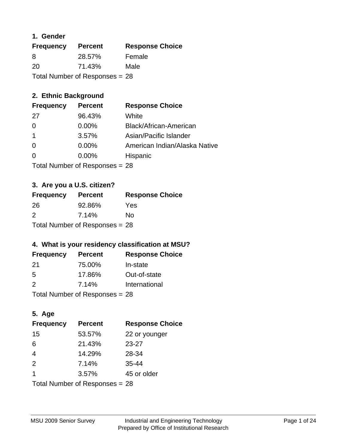# **1. Gender**

| <b>Frequency</b> | <b>Percent</b>                   | <b>Response Choice</b> |
|------------------|----------------------------------|------------------------|
| 8                | 28.57%                           | Female                 |
| 20               | 71.43%                           | Male                   |
|                  | Total Number of Responses = $28$ |                        |

# **2. Ethnic Background**

| <b>Frequency</b> | <b>Percent</b> | <b>Response Choice</b>        |
|------------------|----------------|-------------------------------|
| -27              | 96.43%         | White                         |
| $\Omega$         | $0.00\%$       | Black/African-American        |
|                  | 3.57%          | Asian/Pacific Islander        |
| -0               | 0.00%          | American Indian/Alaska Native |
| 0                | 0.00%          | Hispanic                      |
|                  |                |                               |

Total Number of Responses = 28

# **3. Are you a U.S. citizen?**

| <b>Frequency</b>                 | <b>Percent</b> | <b>Response Choice</b> |
|----------------------------------|----------------|------------------------|
| -26                              | 92.86%         | Yes                    |
| 2                                | 7.14%          | N٥                     |
| Total Number of Responses = $28$ |                |                        |

# **4. What is your residency classification at MSU?**

| <b>Frequency</b> | <b>Percent</b>                         | <b>Response Choice</b> |
|------------------|----------------------------------------|------------------------|
| -21              | 75.00%                                 | In-state               |
| -5               | 17.86%                                 | Out-of-state           |
| 2                | 7.14%                                  | International          |
|                  | $\mathbf{r}$ . The set of $\mathbf{r}$ |                        |

Total Number of Responses = 28

# **5. Age**

| <b>Frequency</b>               | <b>Percent</b> | <b>Response Choice</b> |
|--------------------------------|----------------|------------------------|
| 15                             | 53.57%         | 22 or younger          |
| 6                              | 21.43%         | 23-27                  |
| $\overline{4}$                 | 14.29%         | 28-34                  |
| 2                              | 7.14%          | $35 - 44$              |
| 1                              | 3.57%          | 45 or older            |
| Total Number of Responses = 28 |                |                        |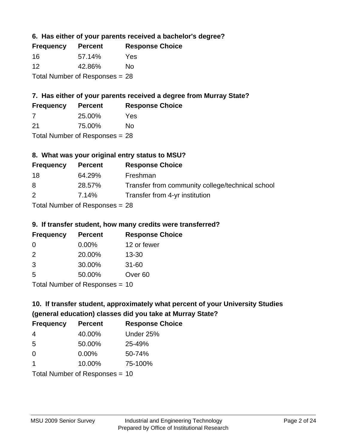**6. Has either of your parents received a bachelor's degree?**

| <b>Frequency</b> | <b>Percent</b>                   | <b>Response Choice</b> |
|------------------|----------------------------------|------------------------|
| 16               | 57.14%                           | Yes                    |
| 12               | 42.86%                           | Nο                     |
|                  | Total Number of Responses $= 28$ |                        |

# **7. Has either of your parents received a degree from Murray State?**

| <b>Frequency</b> | <b>Percent</b> | <b>Response Choice</b> |
|------------------|----------------|------------------------|
|                  | 25.00%         | Yes                    |
| -21              | 75.00%         | No                     |

Total Number of Responses = 28

# **8. What was your original entry status to MSU?**

| <b>Frequency</b> | <b>Percent</b>             | <b>Response Choice</b>                           |
|------------------|----------------------------|--------------------------------------------------|
| 18               | 64.29%                     | Freshman                                         |
| 8                | 28.57%                     | Transfer from community college/technical school |
| 2                | 7.14%                      | Transfer from 4-yr institution                   |
|                  | Tatal Manakan af Dagmanage |                                                  |

Total Number of Responses = 28

# **9. If transfer student, how many credits were transferred?**

| <b>Frequency</b>                 | <b>Percent</b> | <b>Response Choice</b> |
|----------------------------------|----------------|------------------------|
| -0                               | $0.00\%$       | 12 or fewer            |
| $\mathcal{P}$                    | 20.00%         | $13 - 30$              |
| -3                               | 30.00%         | $31 - 60$              |
| -5                               | 50.00%         | Over <sub>60</sub>     |
| $Total Number of Doepopose = 10$ |                |                        |

I otal Number of Responses = 10

# **10. If transfer student, approximately what percent of your University Studies (general education) classes did you take at Murray State?**

| <b>Frequency</b>               | <b>Percent</b> | <b>Response Choice</b> |
|--------------------------------|----------------|------------------------|
| 4                              | 40.00%         | Under 25%              |
| 5                              | 50.00%         | 25-49%                 |
| $\Omega$                       | $0.00\%$       | 50-74%                 |
| $\mathbf 1$                    | 10.00%         | 75-100%                |
| Total Number of Responses = 10 |                |                        |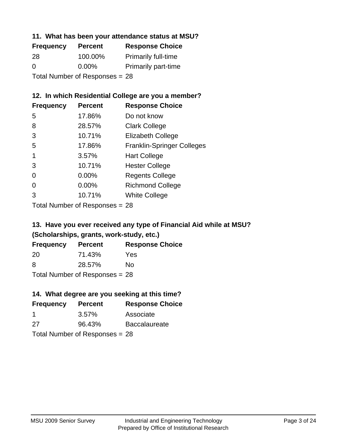# **11. What has been your attendance status at MSU?**

| <b>Frequency</b>                 | <b>Percent</b> | <b>Response Choice</b>     |
|----------------------------------|----------------|----------------------------|
| 28                               | 100.00%        | <b>Primarily full-time</b> |
| $\Omega$                         | $0.00\%$       | <b>Primarily part-time</b> |
| Total Number of Responses = $28$ |                |                            |

# **12. In which Residential College are you a member?**

| <b>Frequency</b> | <b>Percent</b> | <b>Response Choice</b>            |
|------------------|----------------|-----------------------------------|
| 5                | 17.86%         | Do not know                       |
| 8                | 28.57%         | <b>Clark College</b>              |
| 3                | 10.71%         | <b>Elizabeth College</b>          |
| 5                | 17.86%         | <b>Franklin-Springer Colleges</b> |
|                  | 3.57%          | <b>Hart College</b>               |
| 3                | 10.71%         | <b>Hester College</b>             |
| 0                | 0.00%          | <b>Regents College</b>            |
| 0                | 0.00%          | <b>Richmond College</b>           |
| 3                | 10.71%         | <b>White College</b>              |
|                  |                |                                   |

Total Number of Responses = 28

# **13. Have you ever received any type of Financial Aid while at MSU? (Scholarships, grants, work-study, etc.)**

| <b>Frequency</b> | <b>Percent</b>            | <b>Response Choice</b> |
|------------------|---------------------------|------------------------|
| 20               | 71.43%                    | Yes                    |
| 8                | 28.57%                    | Nο                     |
|                  | Total Number of Deepersee |                        |

Total Number of Responses = 28

#### **14. What degree are you seeking at this time?**

| <b>Frequency</b> | <b>Percent</b>                 | <b>Response Choice</b> |
|------------------|--------------------------------|------------------------|
| -1               | $3.57\%$                       | Associate              |
| 27               | 96.43%                         | <b>Baccalaureate</b>   |
|                  | Total Number of Responses = 28 |                        |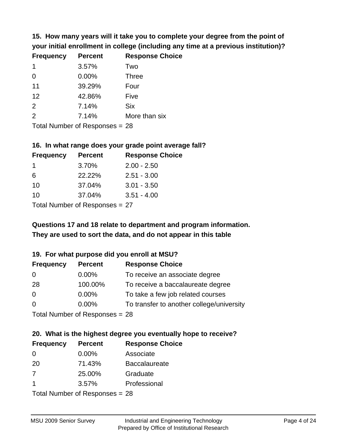**15. How many years will it take you to complete your degree from the point of your initial enrollment in college (including any time at a previous institution)?**

| <b>Frequency</b> | <b>Percent</b> | <b>Response Choice</b> |
|------------------|----------------|------------------------|
| $\mathbf 1$      | 3.57%          | Two                    |
| $\Omega$         | 0.00%          | <b>Three</b>           |
| 11               | 39.29%         | Four                   |
| 12               | 42.86%         | Five                   |
| 2                | 7.14%          | <b>Six</b>             |
| 2                | 7.14%          | More than six          |
|                  |                |                        |

Total Number of Responses = 28

#### **16. In what range does your grade point average fall?**

| <b>Frequency</b> | <b>Percent</b>             | <b>Response Choice</b> |
|------------------|----------------------------|------------------------|
| $\mathbf 1$      | 3.70%                      | $2.00 - 2.50$          |
| 6                | 22.22%                     | $2.51 - 3.00$          |
| 10               | 37.04%                     | $3.01 - 3.50$          |
| 10               | 37.04%                     | $3.51 - 4.00$          |
|                  | Tatal Mussale and Dannauga |                        |

Total Number of Responses = 27

# **They are used to sort the data, and do not appear in this table Questions 17 and 18 relate to department and program information.**

#### **19. For what purpose did you enroll at MSU?**

| <b>Frequency</b> | <b>Percent</b>                  | <b>Response Choice</b>                    |
|------------------|---------------------------------|-------------------------------------------|
| 0                | $0.00\%$                        | To receive an associate degree            |
| 28               | 100.00%                         | To receive a baccalaureate degree         |
| $\overline{0}$   | $0.00\%$                        | To take a few job related courses         |
| $\Omega$         | 0.00%                           | To transfer to another college/university |
|                  | Total Number of Responses $-28$ |                                           |

Total Number of Responses = 28

# **20. What is the highest degree you eventually hope to receive?**

| <b>Frequency</b> | <b>Percent</b>             | <b>Response Choice</b> |
|------------------|----------------------------|------------------------|
| $\Omega$         | $0.00\%$                   | Associate              |
| 20               | 71.43%                     | <b>Baccalaureate</b>   |
| 7                | 25.00%                     | Graduate               |
| -1               | 3.57%                      | Professional           |
|                  | Total Number of Desperance |                        |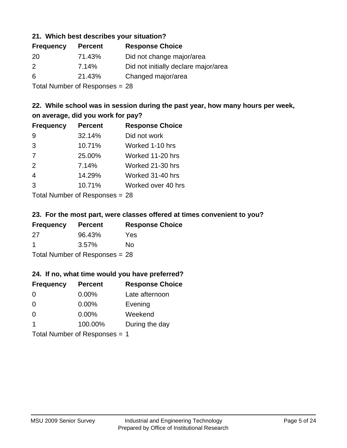# **21. Which best describes your situation?**

| <b>Frequency</b> | <b>Percent</b> | <b>Response Choice</b>               |
|------------------|----------------|--------------------------------------|
| -20              | 71.43%         | Did not change major/area            |
| $\mathcal{P}$    | 7.14%          | Did not initially declare major/area |
| 6                | 21.43%         | Changed major/area                   |
|                  |                |                                      |

Total Number of Responses = 28

# **22. While school was in session during the past year, how many hours per week, on average, did you work for pay?**

| <b>Frequency</b> | <b>Percent</b> | <b>Response Choice</b> |
|------------------|----------------|------------------------|
| 9                | 32.14%         | Did not work           |
| 3                | 10.71%         | Worked 1-10 hrs        |
| 7                | 25.00%         | Worked 11-20 hrs       |
| 2                | 7.14%          | Worked 21-30 hrs       |
| $\overline{4}$   | 14.29%         | Worked 31-40 hrs       |
| 3                | 10.71%         | Worked over 40 hrs     |
|                  |                |                        |

Total Number of Responses = 28

#### **23. For the most part, were classes offered at times convenient to you?**

| <b>Frequency</b> | <b>Percent</b>                 | <b>Response Choice</b> |
|------------------|--------------------------------|------------------------|
| 27               | 96.43%                         | Yes                    |
| -1               | $3.57\%$                       | Nο                     |
|                  | Total Number of Responses = 28 |                        |

#### **24. If no, what time would you have preferred?**

| <b>Frequency</b> | <b>Percent</b>                | <b>Response Choice</b> |
|------------------|-------------------------------|------------------------|
| $\Omega$         | $0.00\%$                      | Late afternoon         |
| $\Omega$         | $0.00\%$                      | Evening                |
| 0                | $0.00\%$                      | Weekend                |
| $\overline{1}$   | 100.00%                       | During the day         |
|                  | Total Number of Responses = 1 |                        |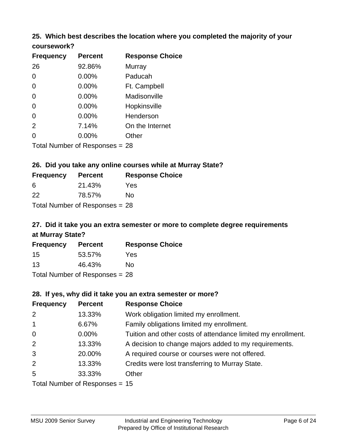# **25. Which best describes the location where you completed the majority of your**

| coursework?      |                |                        |
|------------------|----------------|------------------------|
| <b>Frequency</b> | <b>Percent</b> | <b>Response Choice</b> |
| 26               | 92.86%         | Murray                 |
| 0                | 0.00%          | Paducah                |
| 0                | 0.00%          | Ft. Campbell           |
| 0                | 0.00%          | Madisonville           |
| 0                | 0.00%          | Hopkinsville           |
| 0                | 0.00%          | Henderson              |
| 2                | 7.14%          | On the Internet        |
|                  | 0.00%          | Other                  |

Total Number of Responses = 28

# **26. Did you take any online courses while at Murray State?**

| <b>Frequency</b> | <b>Percent</b>                 | <b>Response Choice</b> |
|------------------|--------------------------------|------------------------|
| -6               | 21.43%                         | Yes                    |
| 22               | 78.57%                         | Nο                     |
|                  | Total Number of Responses = 28 |                        |

# **27. Did it take you an extra semester or more to complete degree requirements at Murray State?**

| <b>Frequency</b> | <b>Percent</b>                   | <b>Response Choice</b> |
|------------------|----------------------------------|------------------------|
| 15               | 53.57%                           | Yes                    |
| 13               | 46.43%                           | No                     |
|                  | Total Number of Responses = $28$ |                        |

#### **28. If yes, why did it take you an extra semester or more?**

| <b>Frequency</b>                 | <b>Percent</b> | <b>Response Choice</b>                                       |
|----------------------------------|----------------|--------------------------------------------------------------|
| 2                                | 13.33%         | Work obligation limited my enrollment.                       |
| $\mathbf{1}$                     | 6.67%          | Family obligations limited my enrollment.                    |
| $\mathbf 0$                      | $0.00\%$       | Tuition and other costs of attendance limited my enrollment. |
| 2                                | 13.33%         | A decision to change majors added to my requirements.        |
| 3                                | 20.00%         | A required course or courses were not offered.               |
| 2                                | 13.33%         | Credits were lost transferring to Murray State.              |
| 5                                | 33.33%         | Other                                                        |
| Total Number of Responses $= 15$ |                |                                                              |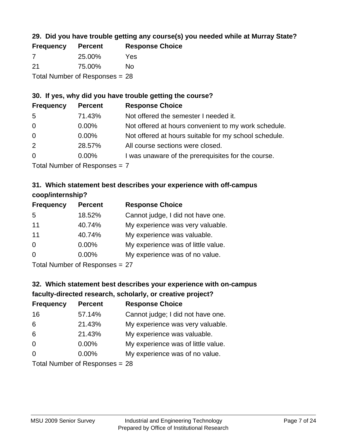# **29. Did you have trouble getting any course(s) you needed while at Murray State?**

| <b>Frequency</b>               | <b>Percent</b> | <b>Response Choice</b> |  |
|--------------------------------|----------------|------------------------|--|
| -7                             | 25.00%         | Yes                    |  |
| -21                            | 75.00%         | No.                    |  |
| Total Number of Responses = 28 |                |                        |  |

# **30. If yes, why did you have trouble getting the course?**

| <b>Frequency</b> | <b>Percent</b> | <b>Response Choice</b>                                |
|------------------|----------------|-------------------------------------------------------|
| -5               | 71.43%         | Not offered the semester I needed it.                 |
| $\overline{0}$   | $0.00\%$       | Not offered at hours convenient to my work schedule.  |
| $\overline{0}$   | $0.00\%$       | Not offered at hours suitable for my school schedule. |
| 2                | 28.57%         | All course sections were closed.                      |
| $\overline{0}$   | $0.00\%$       | I was unaware of the prerequisites for the course.    |
|                  |                |                                                       |

Total Number of Responses = 7

# **31. Which statement best describes your experience with off-campus coop/internship?**

| <b>Frequency</b> | <b>Percent</b> | <b>Response Choice</b>             |
|------------------|----------------|------------------------------------|
| 5                | 18.52%         | Cannot judge, I did not have one.  |
| 11               | 40.74%         | My experience was very valuable.   |
| 11               | 40.74%         | My experience was valuable.        |
| $\Omega$         | $0.00\%$       | My experience was of little value. |
| $\Omega$         | 0.00%          | My experience was of no value.     |
|                  |                |                                    |

Total Number of Responses = 27

# **32. Which statement best describes your experience with on-campus faculty-directed research, scholarly, or creative project?**

| <b>Frequency</b> | <b>Percent</b>                  | <b>Response Choice</b>             |
|------------------|---------------------------------|------------------------------------|
| 16               | 57.14%                          | Cannot judge; I did not have one.  |
| 6                | 21.43%                          | My experience was very valuable.   |
| 6                | 21.43%                          | My experience was valuable.        |
| $\Omega$         | $0.00\%$                        | My experience was of little value. |
| $\Omega$         | $0.00\%$                        | My experience was of no value.     |
|                  | $Total Number of Denonose = 29$ |                                    |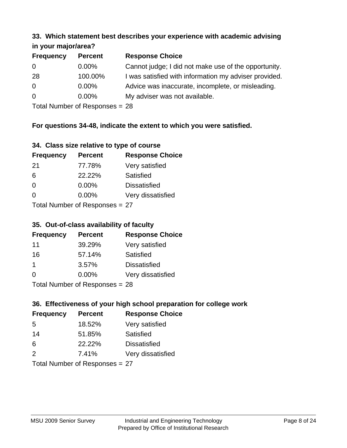#### **33. Which statement best describes your experience with academic advising in your major/area?**

| $\cdots$ your mapproved. |                |                                                       |
|--------------------------|----------------|-------------------------------------------------------|
| <b>Frequency</b>         | <b>Percent</b> | <b>Response Choice</b>                                |
| 0                        | $0.00\%$       | Cannot judge; I did not make use of the opportunity.  |
| 28                       | 100.00%        | I was satisfied with information my adviser provided. |
| $\overline{0}$           | $0.00\%$       | Advice was inaccurate, incomplete, or misleading.     |
| $\Omega$                 | $0.00\%$       | My adviser was not available.                         |
|                          |                |                                                       |

Total Number of Responses = 28

# **For questions 34-48, indicate the extent to which you were satisfied.**

| 34. Class size relative to type of course |
|-------------------------------------------|
|-------------------------------------------|

| <b>Frequency</b>                | <b>Percent</b> | <b>Response Choice</b> |  |
|---------------------------------|----------------|------------------------|--|
| -21                             | 77.78%         | Very satisfied         |  |
| -6                              | 22.22%         | Satisfied              |  |
| $\Omega$                        | 0.00%          | <b>Dissatisfied</b>    |  |
| $\Omega$                        | 0.00%          | Very dissatisfied      |  |
| Total Number of Responses $-27$ |                |                        |  |

Total Number of Responses  $=$  27

# **35. Out-of-class availability of faculty**

| <b>Frequency</b> | <b>Percent</b>             | <b>Response Choice</b> |
|------------------|----------------------------|------------------------|
| 11               | 39.29%                     | Very satisfied         |
| 16               | 57.14%                     | Satisfied              |
| 1                | 3.57%                      | <b>Dissatisfied</b>    |
| $\Omega$         | 0.00%                      | Very dissatisfied      |
|                  | Total Number of Deepersoon |                        |

Total Number of Responses = 28

# **36. Effectiveness of your high school preparation for college work**

| <b>Frequency</b>             | <b>Percent</b> | <b>Response Choice</b> |  |
|------------------------------|----------------|------------------------|--|
| .5                           | 18.52%         | Very satisfied         |  |
| 14                           | 51.85%         | Satisfied              |  |
| 6                            | 22.22%         | <b>Dissatisfied</b>    |  |
| $\mathcal{P}$                | 7.41%          | Very dissatisfied      |  |
| Total Number of DoEROR 22 77 |                |                        |  |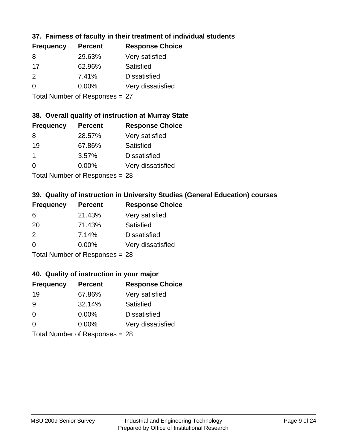# **37. Fairness of faculty in their treatment of individual students**

| <b>Frequency</b> | <b>Percent</b> | <b>Response Choice</b> |
|------------------|----------------|------------------------|
| 8                | 29.63%         | Very satisfied         |
| 17               | 62.96%         | Satisfied              |
| $\mathcal{P}$    | 7.41%          | <b>Dissatisfied</b>    |
| $\Omega$         | 0.00%          | Very dissatisfied      |
|                  |                |                        |

Total Number of Responses = 27

# **38. Overall quality of instruction at Murray State**

| <b>Frequency</b> | <b>Percent</b> | <b>Response Choice</b> |
|------------------|----------------|------------------------|
| 8                | 28.57%         | Very satisfied         |
| 19               | 67.86%         | Satisfied              |
| $\mathbf 1$      | 3.57%          | <b>Dissatisfied</b>    |
| $\Omega$         | 0.00%          | Very dissatisfied      |
|                  |                |                        |

Total Number of Responses = 28

# **39. Quality of instruction in University Studies (General Education) courses**

| <b>Frequency</b> | <b>Percent</b>            | <b>Response Choice</b> |
|------------------|---------------------------|------------------------|
| 6                | 21.43%                    | Very satisfied         |
| 20               | 71.43%                    | Satisfied              |
| $\mathcal{P}$    | 7.14%                     | <b>Dissatisfied</b>    |
| $\Omega$         | 0.00%                     | Very dissatisfied      |
|                  | Total Number of Deepensee |                        |

Total Number of Responses = 28

#### **40. Quality of instruction in your major**

| <b>Frequency</b>               | <b>Percent</b> | <b>Response Choice</b> |
|--------------------------------|----------------|------------------------|
| 19                             | 67.86%         | Very satisfied         |
| 9                              | 32.14%         | Satisfied              |
| $\Omega$                       | $0.00\%$       | <b>Dissatisfied</b>    |
| $\Omega$                       | $0.00\%$       | Very dissatisfied      |
| Total Number of Responses = 28 |                |                        |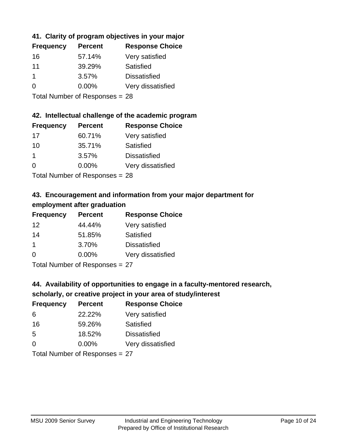# **41. Clarity of program objectives in your major**

| <b>Frequency</b> | <b>Percent</b> | <b>Response Choice</b> |
|------------------|----------------|------------------------|
| 16               | 57.14%         | Very satisfied         |
| 11               | 39.29%         | Satisfied              |
|                  | 3.57%          | <b>Dissatisfied</b>    |
| 0                | $0.00\%$       | Very dissatisfied      |
|                  |                |                        |

Total Number of Responses = 28

#### **42. Intellectual challenge of the academic program**

| <b>Frequency</b> | <b>Percent</b> | <b>Response Choice</b> |
|------------------|----------------|------------------------|
| 17               | 60.71%         | Very satisfied         |
| 10               | 35.71%         | Satisfied              |
| -1               | 3.57%          | <b>Dissatisfied</b>    |
| $\Omega$         | 0.00%          | Very dissatisfied      |
|                  |                |                        |

Total Number of Responses = 28

# **43. Encouragement and information from your major department for employment after graduation**

| <b>Frequency</b> | <b>Percent</b> | <b>Response Choice</b> |
|------------------|----------------|------------------------|
| 12               | 44.44%         | Very satisfied         |
| 14               | 51.85%         | Satisfied              |
| $\mathbf 1$      | 3.70%          | <b>Dissatisfied</b>    |
| 0                | 0.00%          | Very dissatisfied      |
|                  |                |                        |

Total Number of Responses = 27

# **44. Availability of opportunities to engage in a faculty-mentored research,**

# **scholarly, or creative project in your area of study/interest**

| <b>Frequency</b> | <b>Percent</b> | <b>Response Choice</b> |
|------------------|----------------|------------------------|
| 6                | 22.22%         | Very satisfied         |
| 16               | 59.26%         | Satisfied              |
| .5               | 18.52%         | <b>Dissatisfied</b>    |
| $\Omega$         | 0.00%          | Very dissatisfied      |
|                  |                |                        |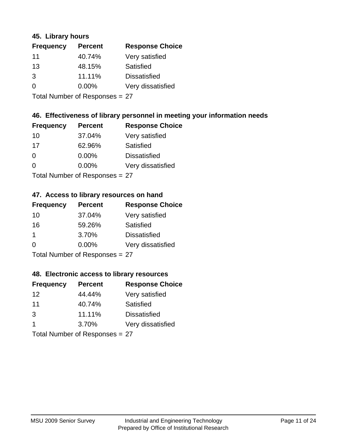#### **45. Library hours**

| <b>Frequency</b> | <b>Percent</b> | <b>Response Choice</b> |
|------------------|----------------|------------------------|
| 11               | 40.74%         | Very satisfied         |
| 13               | 48.15%         | Satisfied              |
| 3                | 11.11%         | <b>Dissatisfied</b>    |
| $\Omega$         | 0.00%          | Very dissatisfied      |
|                  |                |                        |

Total Number of Responses = 27

# **46. Effectiveness of library personnel in meeting your information needs**

| <b>Frequency</b> | <b>Percent</b> | <b>Response Choice</b> |
|------------------|----------------|------------------------|
| 10               | 37.04%         | Very satisfied         |
| 17               | 62.96%         | Satisfied              |
| $\Omega$         | 0.00%          | <b>Dissatisfied</b>    |
| $\Omega$         | 0.00%          | Very dissatisfied      |
|                  |                |                        |

Total Number of Responses = 27

#### **47. Access to library resources on hand**

| <b>Frequency</b> | <b>Percent</b>            | <b>Response Choice</b> |
|------------------|---------------------------|------------------------|
| 10               | 37.04%                    | Very satisfied         |
| 16               | 59.26%                    | Satisfied              |
| 1                | 3.70%                     | <b>Dissatisfied</b>    |
| $\Omega$         | $0.00\%$                  | Very dissatisfied      |
|                  | Total Number of Deepensee |                        |

Total Number of Responses = 27

#### **48. Electronic access to library resources**

| <b>Frequency</b> | <b>Percent</b>             | <b>Response Choice</b> |
|------------------|----------------------------|------------------------|
| 12               | 44.44%                     | Very satisfied         |
| 11               | 40.74%                     | Satisfied              |
| 3                | 11.11%                     | <b>Dissatisfied</b>    |
| -1               | 3.70%                      | Very dissatisfied      |
|                  | Total Number of Deepersoon |                        |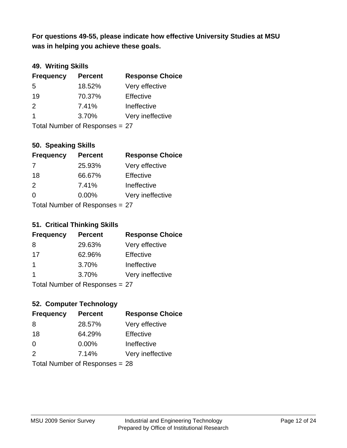**was in helping you achieve these goals. For questions 49-55, please indicate how effective University Studies at MSU** 

# **49. Writing Skills**

| <b>Frequency</b>               | <b>Percent</b> | <b>Response Choice</b> |
|--------------------------------|----------------|------------------------|
| 5                              | 18.52%         | Very effective         |
| 19                             | 70.37%         | Effective              |
| 2                              | 7.41%          | Ineffective            |
| $\overline{\mathbf{1}}$        | 3.70%          | Very ineffective       |
| Total Number of Responses = 27 |                |                        |

# **50. Speaking Skills**

| <b>Frequency</b>               | <b>Percent</b> | <b>Response Choice</b> |
|--------------------------------|----------------|------------------------|
|                                | 25.93%         | Very effective         |
| 18                             | 66.67%         | Effective              |
| $\mathcal{P}$                  | 7.41%          | Ineffective            |
| $\Omega$                       | $0.00\%$       | Very ineffective       |
| Total Number of Responses = 27 |                |                        |

#### **51. Critical Thinking Skills**

| <b>Frequency</b>               | <b>Percent</b> | <b>Response Choice</b> |
|--------------------------------|----------------|------------------------|
| 8                              | 29.63%         | Very effective         |
| 17                             | 62.96%         | Effective              |
| $\mathbf 1$                    | 3.70%          | Ineffective            |
| -1                             | 3.70%          | Very ineffective       |
| Total Number of Responses = 27 |                |                        |

# **52. Computer Technology**

| <b>Frequency</b>               | <b>Percent</b> | <b>Response Choice</b> |
|--------------------------------|----------------|------------------------|
| 8                              | 28.57%         | Very effective         |
| 18                             | 64.29%         | Effective              |
| $\Omega$                       | $0.00\%$       | Ineffective            |
| $\mathcal{P}$                  | 7.14%          | Very ineffective       |
| Total Number of Responses = 28 |                |                        |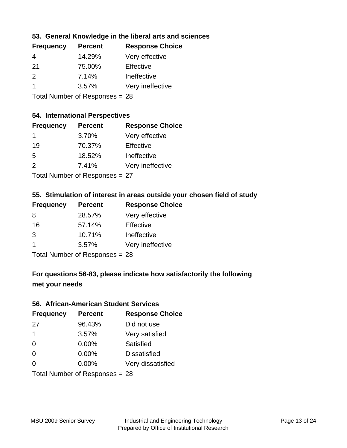# **53. General Knowledge in the liberal arts and sciences**

| <b>Frequency</b> | <b>Percent</b> | <b>Response Choice</b> |
|------------------|----------------|------------------------|
| 4                | 14.29%         | Very effective         |
| 21               | 75.00%         | Effective              |
| $\mathcal{P}$    | 7.14%          | Ineffective            |
|                  | 3.57%          | Very ineffective       |
|                  |                |                        |

Total Number of Responses = 28

#### **54. International Perspectives**

| <b>Frequency</b> | <b>Percent</b> | <b>Response Choice</b> |
|------------------|----------------|------------------------|
| 1                | 3.70%          | Very effective         |
| 19               | 70.37%         | Effective              |
| .5               | 18.52%         | Ineffective            |
| $\mathcal{P}$    | 7.41%          | Very ineffective       |
|                  |                |                        |

Total Number of Responses = 27

#### **55. Stimulation of interest in areas outside your chosen field of study**

| <b>Frequency</b> | <b>Percent</b>                 | <b>Response Choice</b> |
|------------------|--------------------------------|------------------------|
| 8                | 28.57%                         | Very effective         |
| 16               | 57.14%                         | Effective              |
| 3                | 10.71%                         | Ineffective            |
| $\overline{1}$   | 3.57%                          | Very ineffective       |
|                  | Total Number of Responses = 28 |                        |

# **For questions 56-83, please indicate how satisfactorily the following met your needs**

#### **56. African-American Student Services**

| <b>Frequency</b> | <b>Percent</b>                 | <b>Response Choice</b> |
|------------------|--------------------------------|------------------------|
| 27               | 96.43%                         | Did not use            |
| $\overline{1}$   | 3.57%                          | Very satisfied         |
| 0                | 0.00%                          | Satisfied              |
| $\Omega$         | 0.00%                          | <b>Dissatisfied</b>    |
| $\Omega$         | $0.00\%$                       | Very dissatisfied      |
|                  | Total Number of Responses = 28 |                        |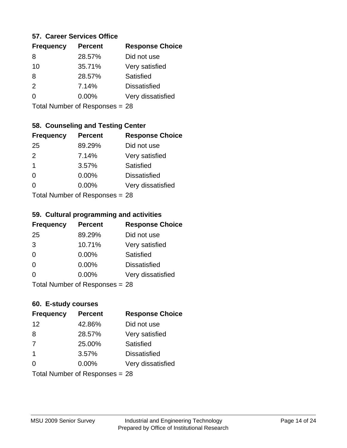#### **57. Career Services Office**

| <b>Frequency</b> | <b>Percent</b> | <b>Response Choice</b> |
|------------------|----------------|------------------------|
| 8                | 28.57%         | Did not use            |
| 10               | 35.71%         | Very satisfied         |
| 8                | 28.57%         | Satisfied              |
| $\mathcal{P}$    | 7.14%          | <b>Dissatisfied</b>    |
| ∩                | $0.00\%$       | Very dissatisfied      |
|                  |                |                        |

Total Number of Responses = 28

# **58. Counseling and Testing Center**

| <b>Frequency</b> | <b>Percent</b>            | <b>Response Choice</b> |
|------------------|---------------------------|------------------------|
| 25               | 89.29%                    | Did not use            |
| 2                | 7.14%                     | Very satisfied         |
| $\mathbf 1$      | 3.57%                     | <b>Satisfied</b>       |
| $\Omega$         | 0.00%                     | <b>Dissatisfied</b>    |
| ∩                | 0.00%                     | Very dissatisfied      |
|                  | Total Number of Desponses |                        |

Total Number of Responses = 28

#### **59. Cultural programming and activities**

| <b>Frequency</b> | <b>Percent</b>                 | <b>Response Choice</b> |
|------------------|--------------------------------|------------------------|
| 25               | 89.29%                         | Did not use            |
| 3                | 10.71%                         | Very satisfied         |
| $\Omega$         | 0.00%                          | <b>Satisfied</b>       |
| $\Omega$         | $0.00\%$                       | <b>Dissatisfied</b>    |
| $\Omega$         | 0.00%                          | Very dissatisfied      |
|                  | Total Number of Responses = 28 |                        |

# **60. E-study courses**

| <b>OD.</b> E-Study codiaca |                                |                        |
|----------------------------|--------------------------------|------------------------|
| <b>Frequency</b>           | <b>Percent</b>                 | <b>Response Choice</b> |
| 12                         | 42.86%                         | Did not use            |
| 8                          | 28.57%                         | Very satisfied         |
| 7                          | 25.00%                         | Satisfied              |
| -1                         | 3.57%                          | <b>Dissatisfied</b>    |
| $\Omega$                   | 0.00%                          | Very dissatisfied      |
|                            | Total Number of Responses = 28 |                        |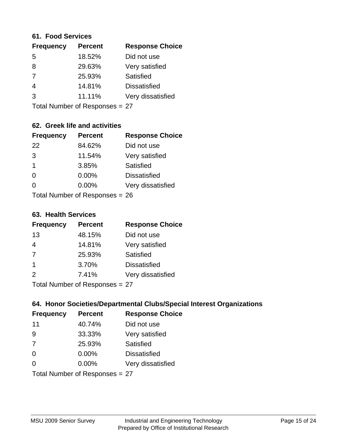#### **61. Food Services**

| <b>Frequency</b> | <b>Percent</b> | <b>Response Choice</b> |
|------------------|----------------|------------------------|
| 5                | 18.52%         | Did not use            |
| 8                | 29.63%         | Very satisfied         |
| 7                | 25.93%         | Satisfied              |
| $\overline{4}$   | 14.81%         | <b>Dissatisfied</b>    |
| 3                | 11.11%         | Very dissatisfied      |
|                  |                |                        |

Total Number of Responses = 27

# **62. Greek life and activities**

| <b>Frequency</b>               | <b>Percent</b> | <b>Response Choice</b> |
|--------------------------------|----------------|------------------------|
| 22                             | 84.62%         | Did not use            |
| 3                              | 11.54%         | Very satisfied         |
| $\overline{1}$                 | 3.85%          | Satisfied              |
| $\Omega$                       | 0.00%          | <b>Dissatisfied</b>    |
| 0                              | 0.00%          | Very dissatisfied      |
| Total Number of Responses = 26 |                |                        |

#### **63. Health Services**

| <b>Frequency</b> | <b>Percent</b> | <b>Response Choice</b> |
|------------------|----------------|------------------------|
| 13               | 48.15%         | Did not use            |
| 4                | 14.81%         | Very satisfied         |
| 7                | 25.93%         | Satisfied              |
| -1               | 3.70%          | <b>Dissatisfied</b>    |
| $\mathcal{P}$    | 7.41%          | Very dissatisfied      |
|                  |                |                        |

Total Number of Responses = 27

# **64. Honor Societies/Departmental Clubs/Special Interest Organizations**

| <b>Frequency</b>               | <b>Percent</b> | <b>Response Choice</b> |
|--------------------------------|----------------|------------------------|
| 11                             | 40.74%         | Did not use            |
| 9                              | 33.33%         | Very satisfied         |
| 7                              | 25.93%         | Satisfied              |
| $\Omega$                       | $0.00\%$       | <b>Dissatisfied</b>    |
| $\Omega$                       | 0.00%          | Very dissatisfied      |
| Total Number of Responses = 27 |                |                        |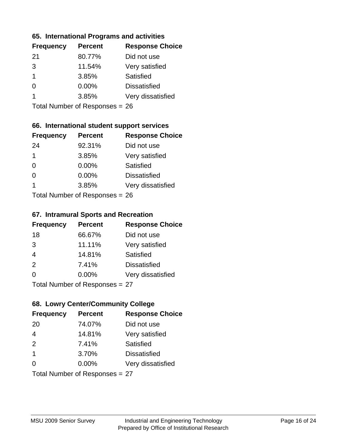#### **65. International Programs and activities**

| <b>Percent</b> | <b>Response Choice</b> |
|----------------|------------------------|
| 80.77%         | Did not use            |
| 11.54%         | Very satisfied         |
| 3.85%          | Satisfied              |
| 0.00%          | <b>Dissatisfied</b>    |
| 3.85%          | Very dissatisfied      |
|                |                        |

Total Number of Responses = 26

# **66. International student support services**

| <b>Frequency</b>          | <b>Percent</b> | <b>Response Choice</b> |
|---------------------------|----------------|------------------------|
| 24                        | 92.31%         | Did not use            |
| $\mathbf 1$               | 3.85%          | Very satisfied         |
| $\Omega$                  | 0.00%          | <b>Satisfied</b>       |
| $\Omega$                  | 0.00%          | <b>Dissatisfied</b>    |
| 1                         | 3.85%          | Very dissatisfied      |
| Total Number of Deepersee |                |                        |

Total Number of Responses = 26

#### **67. Intramural Sports and Recreation**

| <b>Frequency</b>           | <b>Percent</b> | <b>Response Choice</b> |
|----------------------------|----------------|------------------------|
| 18                         | 66.67%         | Did not use            |
| 3                          | 11.11%         | Very satisfied         |
| $\overline{4}$             | 14.81%         | Satisfied              |
| 2                          | 7.41%          | <b>Dissatisfied</b>    |
| $\Omega$                   | 0.00%          | Very dissatisfied      |
| Tetal Number of Desperance |                |                        |

Total Number of Responses = 27

# **68. Lowry Center/Community College**

| <b>Frequency</b>               | <b>Percent</b> | <b>Response Choice</b> |
|--------------------------------|----------------|------------------------|
| 20                             | 74.07%         | Did not use            |
| $\overline{4}$                 | 14.81%         | Very satisfied         |
| 2                              | 7.41%          | Satisfied              |
| $\mathbf 1$                    | 3.70%          | <b>Dissatisfied</b>    |
| $\Omega$                       | 0.00%          | Very dissatisfied      |
| Total Number of Responses = 27 |                |                        |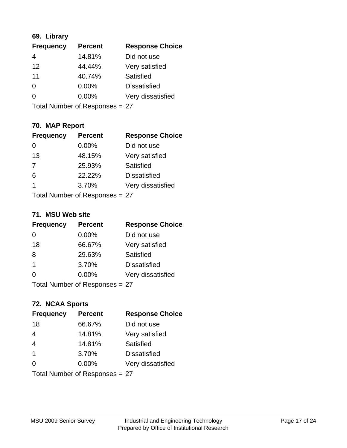# **69. Library**

| <b>Frequency</b> | <b>Percent</b> | <b>Response Choice</b> |
|------------------|----------------|------------------------|
| 4                | 14.81%         | Did not use            |
| 12               | 44.44%         | Very satisfied         |
| 11               | 40.74%         | Satisfied              |
| $\Omega$         | $0.00\%$       | <b>Dissatisfied</b>    |
| $\Omega$         | $0.00\%$       | Very dissatisfied      |
|                  |                |                        |

Total Number of Responses = 27

# **70. MAP Report**

| <b>Frequency</b>               | <b>Percent</b> | <b>Response Choice</b> |
|--------------------------------|----------------|------------------------|
|                                | 0.00%          | Did not use            |
| 13                             | 48.15%         | Very satisfied         |
| 7                              | 25.93%         | Satisfied              |
| 6                              | 22.22%         | <b>Dissatisfied</b>    |
| 1                              | 3.70%          | Very dissatisfied      |
| Total Number of Responses = 27 |                |                        |

#### **71. MSU Web site**

| <b>Frequency</b>               | <b>Percent</b> | <b>Response Choice</b> |
|--------------------------------|----------------|------------------------|
| 0                              | 0.00%          | Did not use            |
| 18                             | 66.67%         | Very satisfied         |
| 8                              | 29.63%         | Satisfied              |
| -1                             | 3.70%          | <b>Dissatisfied</b>    |
| ∩                              | $0.00\%$       | Very dissatisfied      |
| Total Number of Responses = 27 |                |                        |

# **72. NCAA Sports**

| <b>Frequency</b>               | <b>Percent</b> | <b>Response Choice</b> |
|--------------------------------|----------------|------------------------|
| 18                             | 66.67%         | Did not use            |
| $\overline{4}$                 | 14.81%         | Very satisfied         |
| $\overline{4}$                 | 14.81%         | Satisfied              |
| $\mathbf{1}$                   | 3.70%          | <b>Dissatisfied</b>    |
| $\Omega$                       | $0.00\%$       | Very dissatisfied      |
| Total Number of Responses = 27 |                |                        |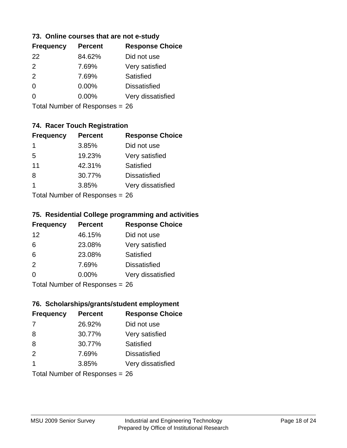#### **73. Online courses that are not e-study**

| <b>Frequency</b> | <b>Percent</b> | <b>Response Choice</b> |
|------------------|----------------|------------------------|
| 22               | 84.62%         | Did not use            |
| $\mathcal{P}$    | 7.69%          | Very satisfied         |
| 2                | 7.69%          | Satisfied              |
| 0                | $0.00\%$       | <b>Dissatisfied</b>    |
|                  | $0.00\%$       | Very dissatisfied      |
|                  |                |                        |

Total Number of Responses = 26

# **74. Racer Touch Registration**

| <b>Frequency</b>          | <b>Percent</b> | <b>Response Choice</b> |
|---------------------------|----------------|------------------------|
| 1                         | 3.85%          | Did not use            |
| 5                         | 19.23%         | Very satisfied         |
| 11                        | 42.31%         | <b>Satisfied</b>       |
| 8                         | 30.77%         | <b>Dissatisfied</b>    |
| 1                         | 3.85%          | Very dissatisfied      |
| Total Number of Desponses |                |                        |

Total Number of Responses = 26

#### **75. Residential College programming and activities**

| <b>Frequency</b>                | <b>Percent</b> | <b>Response Choice</b> |
|---------------------------------|----------------|------------------------|
| 12                              | 46.15%         | Did not use            |
| 6                               | 23.08%         | Very satisfied         |
| 6                               | 23.08%         | <b>Satisfied</b>       |
| 2                               | 7.69%          | <b>Dissatisfied</b>    |
| $\Omega$                        | $0.00\%$       | Very dissatisfied      |
| $Total Number of Denonose = 26$ |                |                        |

Total Number of Responses = 26

#### **76. Scholarships/grants/student employment**

| <b>Frequency</b> | <b>Percent</b>                 | <b>Response Choice</b> |
|------------------|--------------------------------|------------------------|
| -7               | 26.92%                         | Did not use            |
| 8                | 30.77%                         | Very satisfied         |
| 8                | 30.77%                         | Satisfied              |
| 2                | 7.69%                          | <b>Dissatisfied</b>    |
| 1                | 3.85%                          | Very dissatisfied      |
|                  | Total Number of Responses = 26 |                        |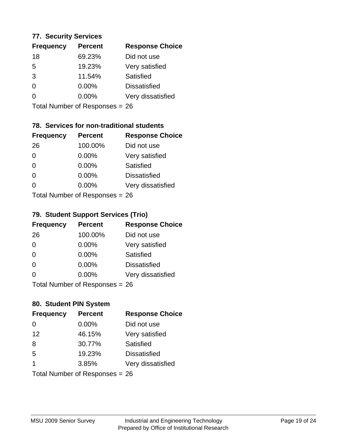#### **77. Security Services**

| <b>Frequency</b> | <b>Percent</b> | <b>Response Choice</b> |
|------------------|----------------|------------------------|
| 18               | 69.23%         | Did not use            |
| 5                | 19.23%         | Very satisfied         |
| 3                | 11.54%         | Satisfied              |
| 0                | $0.00\%$       | <b>Dissatisfied</b>    |
| O                | $0.00\%$       | Very dissatisfied      |
|                  |                |                        |

Total Number of Responses = 26

# **78. Services for non-traditional students**

| <b>Frequency</b>           | <b>Percent</b> | <b>Response Choice</b> |
|----------------------------|----------------|------------------------|
| 26                         | 100.00%        | Did not use            |
| 0                          | 0.00%          | Very satisfied         |
| $\Omega$                   | 0.00%          | Satisfied              |
| $\Omega$                   | 0.00%          | <b>Dissatisfied</b>    |
| $\Omega$                   | 0.00%          | Very dissatisfied      |
| Total Number of Deepersoon |                |                        |

Total Number of Responses = 26

# **79. Student Support Services (Trio)**

| <b>Frequency</b>               | <b>Percent</b> | <b>Response Choice</b> |
|--------------------------------|----------------|------------------------|
| 26                             | 100.00%        | Did not use            |
| $\Omega$                       | 0.00%          | Very satisfied         |
| $\Omega$                       | 0.00%          | <b>Satisfied</b>       |
| $\Omega$                       | 0.00%          | <b>Dissatisfied</b>    |
| $\Omega$                       | $0.00\%$       | Very dissatisfied      |
| Total Number of Poenances - 26 |                |                        |

I otal Number of Responses = 26

# **80. Student PIN System**

| <b>Frequency</b> | <b>Percent</b>                 | <b>Response Choice</b> |
|------------------|--------------------------------|------------------------|
| 0                | 0.00%                          | Did not use            |
| 12               | 46.15%                         | Very satisfied         |
| 8                | 30.77%                         | Satisfied              |
| 5                | 19.23%                         | <b>Dissatisfied</b>    |
| 1                | 3.85%                          | Very dissatisfied      |
|                  | Total Number of Responses = 26 |                        |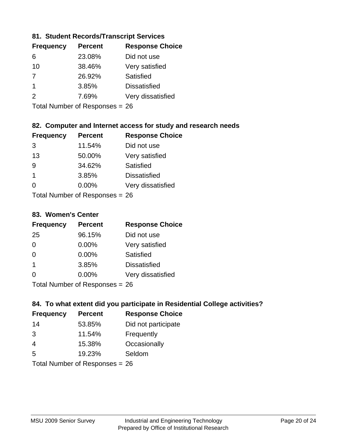# **81. Student Records/Transcript Services**

| <b>Percent</b> | <b>Response Choice</b> |
|----------------|------------------------|
| 23.08%         | Did not use            |
| 38.46%         | Very satisfied         |
| 26.92%         | Satisfied              |
| 3.85%          | <b>Dissatisfied</b>    |
| 7.69%          | Very dissatisfied      |
|                |                        |

Total Number of Responses = 26

# **82. Computer and Internet access for study and research needs**

| <b>Frequency</b>           | <b>Percent</b> | <b>Response Choice</b> |
|----------------------------|----------------|------------------------|
| 3                          | 11.54%         | Did not use            |
| 13                         | 50.00%         | Very satisfied         |
| 9                          | 34.62%         | Satisfied              |
| $\blacktriangleleft$       | 3.85%          | <b>Dissatisfied</b>    |
| ∩                          | 0.00%          | Very dissatisfied      |
| Tatal Number of Desperance |                |                        |

Total Number of Responses = 26

#### **83. Women's Center**

| <b>Frequency</b>          | <b>Percent</b> | <b>Response Choice</b> |
|---------------------------|----------------|------------------------|
| 25                        | 96.15%         | Did not use            |
| $\Omega$                  | 0.00%          | Very satisfied         |
| $\Omega$                  | $0.00\%$       | Satisfied              |
| -1                        | 3.85%          | <b>Dissatisfied</b>    |
| $\Omega$                  | 0.00%          | Very dissatisfied      |
| Total Number of Desponses |                |                        |

Total Number of Responses = 26

# **84. To what extent did you participate in Residential College activities?**

| <b>Frequency</b>                                  | <b>Percent</b> | <b>Response Choice</b> |  |
|---------------------------------------------------|----------------|------------------------|--|
| 14                                                | 53.85%         | Did not participate    |  |
| 3                                                 | 11.54%         | Frequently             |  |
| $\overline{4}$                                    | 15.38%         | Occasionally           |  |
| .5                                                | 19.23%         | Seldom                 |  |
| $T$ at all Matters because of $D$ are a second on |                |                        |  |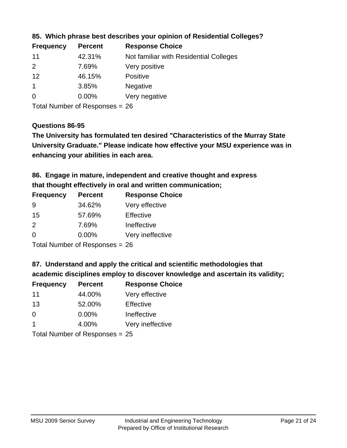| <b>Frequency</b> | <b>Percent</b> | <b>Response Choice</b>                 |
|------------------|----------------|----------------------------------------|
| 11               | 42.31%         | Not familiar with Residential Colleges |
| 2                | 7.69%          | Very positive                          |
| 12               | 46.15%         | <b>Positive</b>                        |
|                  | 3.85%          | <b>Negative</b>                        |
| -0               | $0.00\%$       | Very negative                          |
|                  |                |                                        |

# **85. Which phrase best describes your opinion of Residential Colleges?**

Total Number of Responses = 26

#### **Questions 86-95**

**University Graduate." Please indicate how effective your MSU experience was in The University has formulated ten desired "Characteristics of the Murray State enhancing your abilities in each area.**

**86. Engage in mature, independent and creative thought and express that thought effectively in oral and written communication;**

| <b>Frequency</b> | <b>Percent</b> | <b>Response Choice</b> |
|------------------|----------------|------------------------|
| 9                | 34.62%         | Very effective         |
| 15               | 57.69%         | Effective              |
| $\mathcal{P}$    | 7.69%          | Ineffective            |
| $\Omega$         | $0.00\%$       | Very ineffective       |

Total Number of Responses = 26

#### **87. Understand and apply the critical and scientific methodologies that**

**academic disciplines employ to discover knowledge and ascertain its validity;**

| <b>Frequency</b> | <b>Percent</b> | <b>Response Choice</b> |
|------------------|----------------|------------------------|
| 11               | 44.00%         | Very effective         |
| 13               | 52.00%         | Effective              |
| $\Omega$         | 0.00%          | Ineffective            |
|                  | 4.00%          | Very ineffective       |
|                  |                |                        |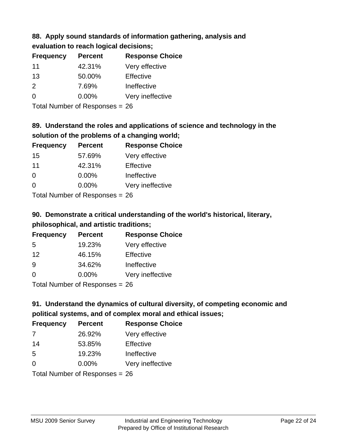# **88. Apply sound standards of information gathering, analysis and**

**evaluation to reach logical decisions;**

| <b>Frequency</b> | <b>Percent</b> | <b>Response Choice</b> |
|------------------|----------------|------------------------|
| 11               | 42.31%         | Very effective         |
| 13               | 50.00%         | Effective              |
| 2                | 7.69%          | Ineffective            |
| $\Omega$         | $0.00\%$       | Very ineffective       |

Total Number of Responses = 26

# **89. Understand the roles and applications of science and technology in the solution of the problems of a changing world;**

| <b>Frequency</b> | <b>Percent</b> | <b>Response Choice</b> |
|------------------|----------------|------------------------|
| 15               | 57.69%         | Very effective         |
| 11               | 42.31%         | Effective              |
| $\Omega$         | 0.00%          | Ineffective            |
| $\Omega$         | 0.00%          | Very ineffective       |
|                  |                |                        |

Total Number of Responses = 26

# **90. Demonstrate a critical understanding of the world's historical, literary, philosophical, and artistic traditions;**

| <b>Frequency</b>                                                 | <b>Percent</b> | <b>Response Choice</b> |
|------------------------------------------------------------------|----------------|------------------------|
| 5                                                                | 19.23%         | Very effective         |
| 12                                                               | 46.15%         | Effective              |
| 9                                                                | 34.62%         | Ineffective            |
| $\Omega$                                                         | 0.00%          | Very ineffective       |
| $\tau$ . $\tau$ . In the set of $\mathbb{R}$ . The set of $\tau$ |                |                        |

Total Number of Responses = 26

# **91. Understand the dynamics of cultural diversity, of competing economic and political systems, and of complex moral and ethical issues;**

| <b>Frequency</b> | <b>Percent</b>                 | <b>Response Choice</b> |
|------------------|--------------------------------|------------------------|
| 7                | 26.92%                         | Very effective         |
| 14               | 53.85%                         | Effective              |
| 5                | 19.23%                         | Ineffective            |
| $\Omega$         | $0.00\%$                       | Very ineffective       |
|                  | Total Number of Responses = 26 |                        |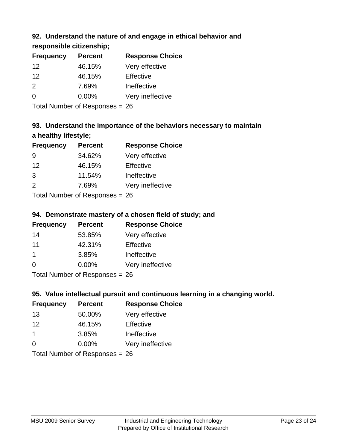# **92. Understand the nature of and engage in ethical behavior and**

**responsible citizenship;**

| <b>Frequency</b> | <b>Percent</b> | <b>Response Choice</b> |
|------------------|----------------|------------------------|
| 12               | 46.15%         | Very effective         |
| 12               | 46.15%         | Effective              |
| $\mathcal{P}$    | 7.69%          | Ineffective            |
| $\Omega$         | $0.00\%$       | Very ineffective       |
|                  |                |                        |

Total Number of Responses = 26

# **93. Understand the importance of the behaviors necessary to maintain a healthy lifestyle;**

| <b>Frequency</b>                        | <b>Percent</b> | <b>Response Choice</b> |
|-----------------------------------------|----------------|------------------------|
| 9                                       | 34.62%         | Very effective         |
| 12                                      | 46.15%         | Effective              |
| 3                                       | 11.54%         | Ineffective            |
| 2                                       | 7.69%          | Very ineffective       |
| $T$ at all Message and $R$ and a second |                |                        |

Total Number of Responses = 26

# **94. Demonstrate mastery of a chosen field of study; and**

| <b>Frequency</b> | <b>Percent</b> | <b>Response Choice</b> |
|------------------|----------------|------------------------|
| 14               | 53.85%         | Very effective         |
| 11               | 42.31%         | Effective              |
|                  | 3.85%          | Ineffective            |
| 0                | $0.00\%$       | Very ineffective       |
|                  |                |                        |

Total Number of Responses = 26

# **95. Value intellectual pursuit and continuous learning in a changing world.**

| <b>Frequency</b>                                                                                                                 | <b>Percent</b> | <b>Response Choice</b> |
|----------------------------------------------------------------------------------------------------------------------------------|----------------|------------------------|
| 13                                                                                                                               | 50.00%         | Very effective         |
| 12                                                                                                                               | 46.15%         | Effective              |
| $\mathbf 1$                                                                                                                      | 3.85%          | Ineffective            |
| $\Omega$                                                                                                                         | 0.00%          | Very ineffective       |
| $\tau$ . $\tau$ . In the set of $\tau$ , $\tau$ , $\tau$ , $\tau$ , $\tau$ , $\tau$ , $\tau$ , $\tau$ , $\tau$ , $\tau$ , $\tau$ |                |                        |